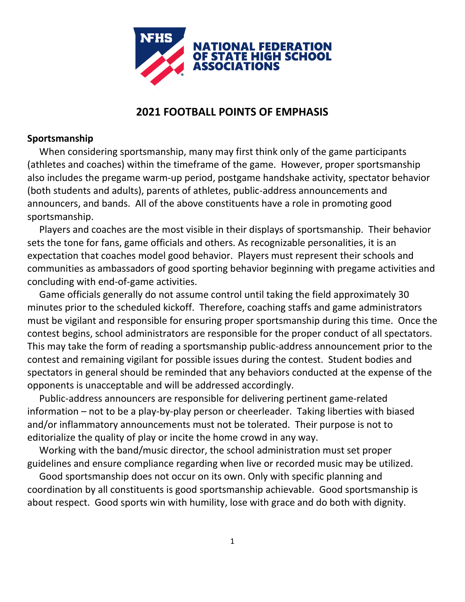

## **2021 FOOTBALL POINTS OF EMPHASIS**

## **Sportsmanship**

 When considering sportsmanship, many may first think only of the game participants (athletes and coaches) within the timeframe of the game. However, proper sportsmanship also includes the pregame warm-up period, postgame handshake activity, spectator behavior (both students and adults), parents of athletes, public-address announcements and announcers, and bands. All of the above constituents have a role in promoting good sportsmanship.

 Players and coaches are the most visible in their displays of sportsmanship. Their behavior sets the tone for fans, game officials and others. As recognizable personalities, it is an expectation that coaches model good behavior. Players must represent their schools and communities as ambassadors of good sporting behavior beginning with pregame activities and concluding with end-of-game activities.

 Game officials generally do not assume control until taking the field approximately 30 minutes prior to the scheduled kickoff. Therefore, coaching staffs and game administrators must be vigilant and responsible for ensuring proper sportsmanship during this time. Once the contest begins, school administrators are responsible for the proper conduct of all spectators. This may take the form of reading a sportsmanship public-address announcement prior to the contest and remaining vigilant for possible issues during the contest. Student bodies and spectators in general should be reminded that any behaviors conducted at the expense of the opponents is unacceptable and will be addressed accordingly.

 Public-address announcers are responsible for delivering pertinent game-related information – not to be a play-by-play person or cheerleader. Taking liberties with biased and/or inflammatory announcements must not be tolerated. Their purpose is not to editorialize the quality of play or incite the home crowd in any way.

 Working with the band/music director, the school administration must set proper guidelines and ensure compliance regarding when live or recorded music may be utilized.

 Good sportsmanship does not occur on its own. Only with specific planning and coordination by all constituents is good sportsmanship achievable. Good sportsmanship is about respect. Good sports win with humility, lose with grace and do both with dignity.